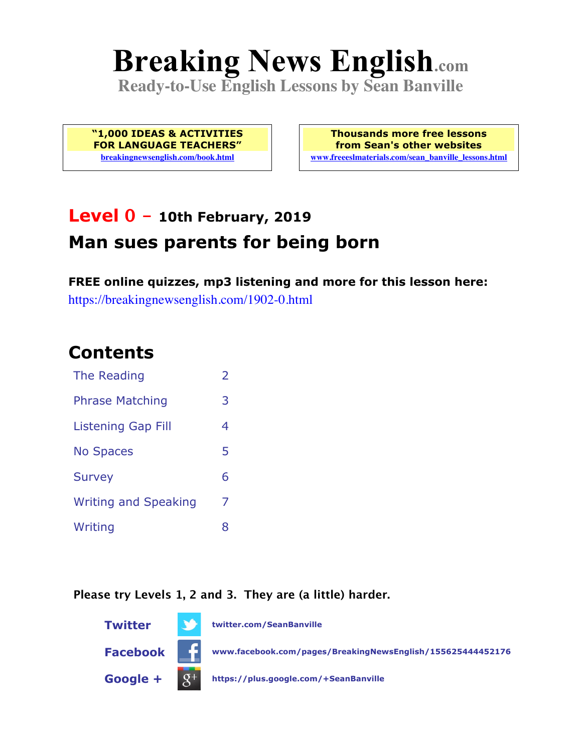# **Breaking News English.com**

**Ready-to-Use English Lessons by Sean Banville**

**"1,000 IDEAS & ACTIVITIES FOR LANGUAGE TEACHERS" breakingnewsenglish.com/book.html**

**Thousands more free lessons from Sean's other websites www.freeeslmaterials.com/sean\_banville\_lessons.html**

# **Level 0 - 10th February, 2019 Man sues parents for being born**

**FREE online quizzes, mp3 listening and more for this lesson here:** https://breakingnewsenglish.com/1902-0.html

#### **Contents**

| The Reading                 | $\overline{2}$ |
|-----------------------------|----------------|
| <b>Phrase Matching</b>      | 3              |
| <b>Listening Gap Fill</b>   | 4              |
| <b>No Spaces</b>            | 5              |
| <b>Survey</b>               | 6              |
| <b>Writing and Speaking</b> | 7              |
| Writing                     | 8              |

**Please try Levels 1, 2 and 3. They are (a little) harder.**

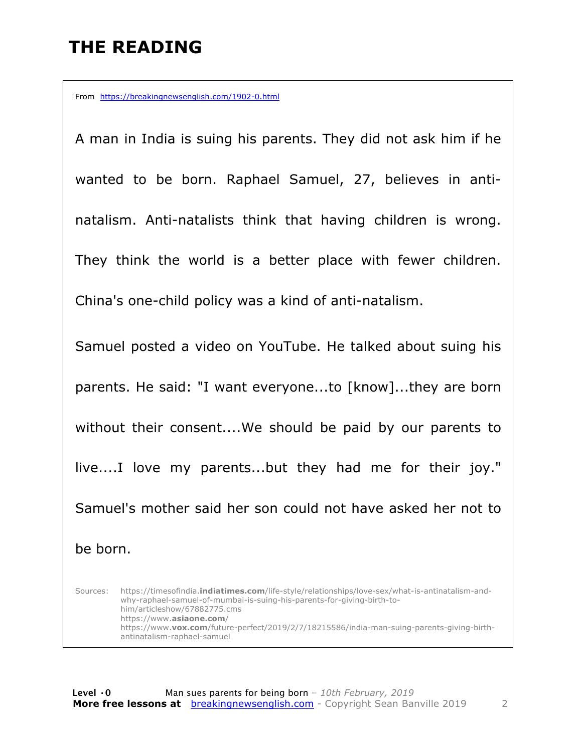## **THE READING**

From https://breakingnewsenglish.com/1902-0.html

A man in India is suing his parents. They did not ask him if he wanted to be born. Raphael Samuel, 27, believes in antinatalism. Anti-natalists think that having children is wrong. They think the world is a better place with fewer children. China's one-child policy was a kind of anti-natalism. Samuel posted a video on YouTube. He talked about suing his parents. He said: "I want everyone...to [know]...they are born without their consent....We should be paid by our parents to live....I love my parents...but they had me for their joy." Samuel's mother said her son could not have asked her not to

be born.

Sources: https://timesofindia.**indiatimes.com**/life-style/relationships/love-sex/what-is-antinatalism-andwhy-raphael-samuel-of-mumbai-is-suing-his-parents-for-giving-birth-tohim/articleshow/67882775.cms https://www.**asiaone.com**/ https://www.**vox.com**/future-perfect/2019/2/7/18215586/india-man-suing-parents-giving-birthantinatalism-raphael-samuel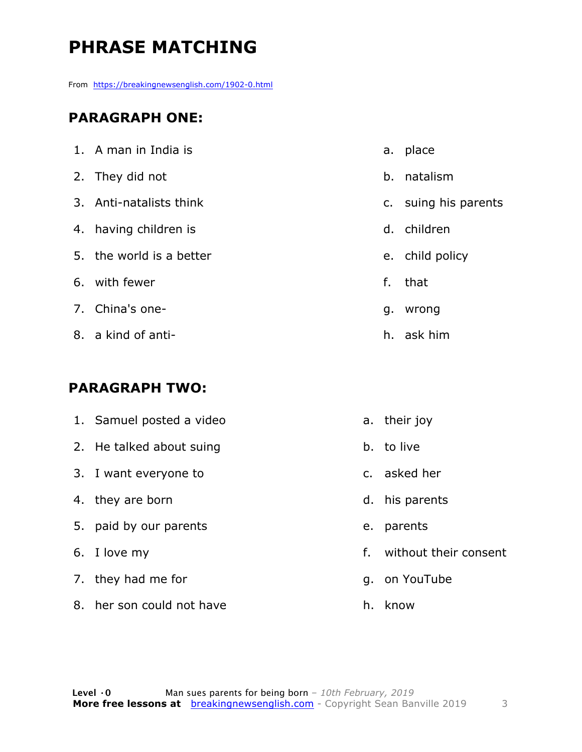# **PHRASE MATCHING**

From https://breakingnewsenglish.com/1902-0.html

#### **PARAGRAPH ONE:**

| 1. A man in India is     |    | a. place             |
|--------------------------|----|----------------------|
| 2. They did not          | b. | natalism             |
| 3. Anti-natalists think  |    | c. suing his parents |
| 4. having children is    |    | d. children          |
| 5. the world is a better |    | e. child policy      |
| 6. with fewer            | f. | that                 |
| 7. China's one-          | g. | wrong                |
| 8. a kind of anti-       | h. | ask him              |

#### **PARAGRAPH TWO:**

| 1. Samuel posted a video |    | a. their joy          |
|--------------------------|----|-----------------------|
| 2. He talked about suing |    | b. to live            |
| 3. I want everyone to    |    | c. asked her          |
| 4. they are born         |    | d. his parents        |
| 5. paid by our parents   |    | e. parents            |
| 6. I love my             | f. | without their consent |
| 7. they had me for       |    | g. on YouTube         |
|                          |    |                       |

h. know

8. her son could not have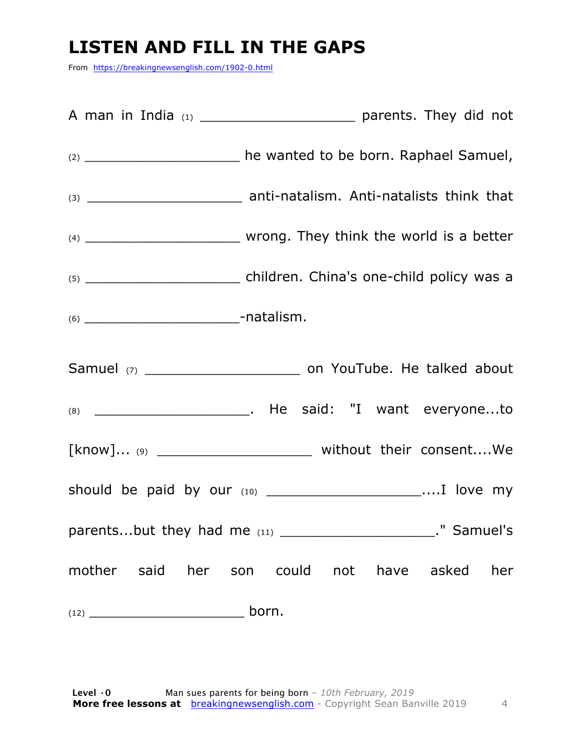#### **LISTEN AND FILL IN THE GAPS**

From https://breakingnewsenglish.com/1902-0.html

| (2) ________________________ he wanted to be born. Raphael Samuel,   |
|----------------------------------------------------------------------|
|                                                                      |
|                                                                      |
|                                                                      |
|                                                                      |
|                                                                      |
|                                                                      |
| [know] (9) _________________________________ without their consentWe |
|                                                                      |
| " Samuel's                                                           |
| mother said her son could not have asked her                         |
| born.                                                                |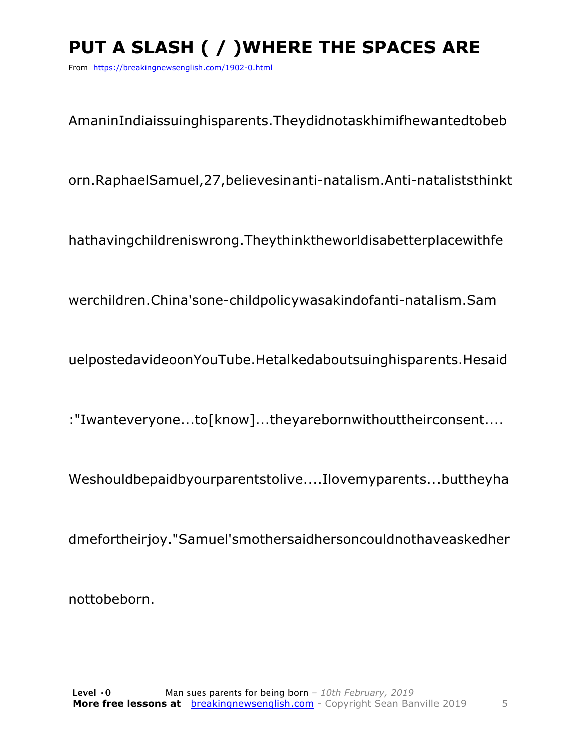# PUT A SLASH ( / ) WHERE THE SPACES ARE

From https://breakingnewsenglish.com/1902-0.html

AmaninIndiaissuinghisparents.Theydidnotaskhimifhewantedtobeb

orn.RaphaelSamuel,27,believesinanti-natalism.Anti-nataliststhinkt

hathavingchildreniswrong. They think the world is a better place with fe

werchildren.China'sone-childpolicywasakindofanti-natalism.Sam

uelpostedavideoonYouTube.Hetalkedaboutsuinghisparents.Hesaid

:"Iwanteveryone...to[know]...theyarebornwithouttheirconsent....

Weshouldbepaidbyourparentstolive....Ilovemyparents...buttheyha

dmefortheirjoy."Samuel'smothersaidhersoncouldnothaveaskedher

nottobeborn.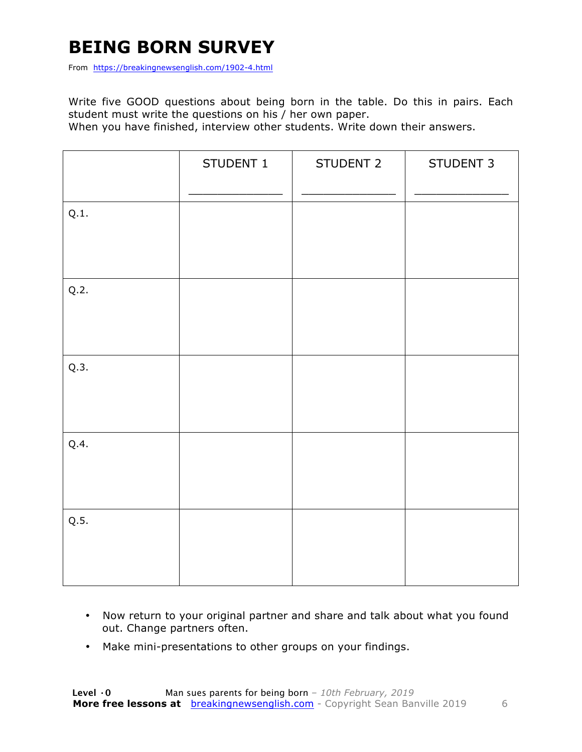## **BEING BORN SURVEY**

From https://breakingnewsenglish.com/1902-4.html

Write five GOOD questions about being born in the table. Do this in pairs. Each student must write the questions on his / her own paper.

When you have finished, interview other students. Write down their answers.

|      | STUDENT 1 | STUDENT 2 | STUDENT 3 |
|------|-----------|-----------|-----------|
| Q.1. |           |           |           |
| Q.2. |           |           |           |
| Q.3. |           |           |           |
| Q.4. |           |           |           |
| Q.5. |           |           |           |

- Now return to your original partner and share and talk about what you found out. Change partners often.
- Make mini-presentations to other groups on your findings.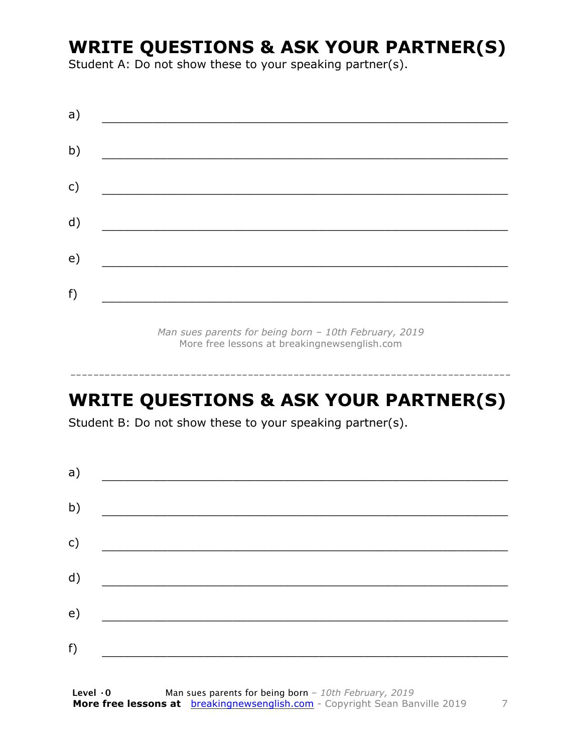#### **WRITE QUESTIONS & ASK YOUR PARTNER(S)**

Student A: Do not show these to your speaking partner(s).

*Man sues parents for being born – 10th February, 2019* More free lessons at breakingnewsenglish.com

#### **WRITE QUESTIONS & ASK YOUR PARTNER(S)**

-----------------------------------------------------------------------------

Student B: Do not show these to your speaking partner(s).

| a) |  |  |
|----|--|--|
| b) |  |  |
| c) |  |  |
| d) |  |  |
| e) |  |  |
| f) |  |  |
|    |  |  |